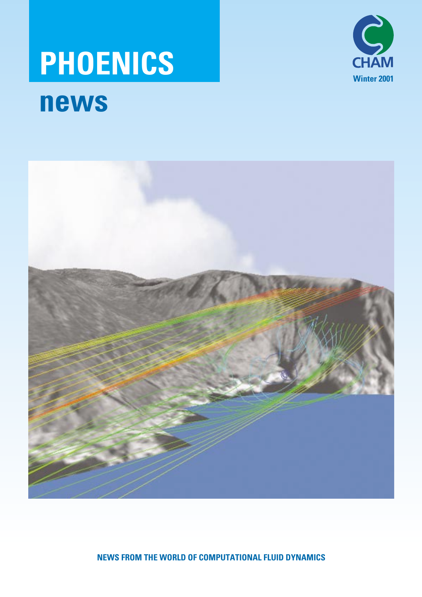# **PHOENICS news**





**NEWS FROM THE WORLD OF COMPUTATIONAL FLUID DYNAMICS**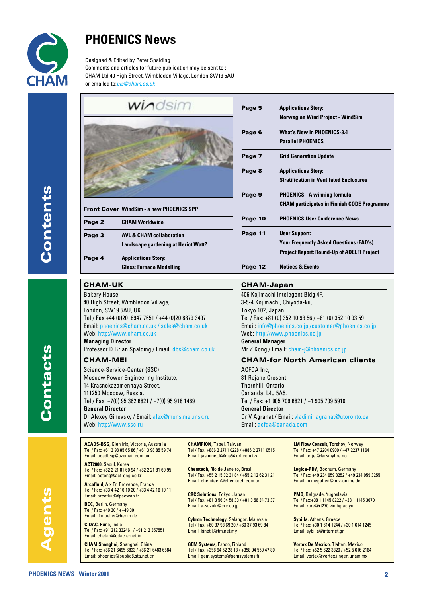

## **PHOENICS News**

Designed & Edited by Peter Spalding Comments and articles for future publication may be sent to :- CHAM Ltd 40 High Street, Wimbledon Village, London SW19 5AU or emailed to:*pls@cham.co.uk*

 $\overline{AB}$ 

**Contacts**

contacts

| WINDSILLI                                       |  |
|-------------------------------------------------|--|
|                                                 |  |
|                                                 |  |
| <b>Front Cover WindSim - a new PHOENICS SPP</b> |  |
| Page 2 CHAM Worldwide                           |  |

| Page 3 | <b>AVL &amp; CHAM collaboration</b>        |  |
|--------|--------------------------------------------|--|
|        | <b>Landscape gardening at Heriot Watt?</b> |  |
| Page 4 | <b>Applications Story:</b>                 |  |
|        | <b>Glass: Furnace Modelling</b>            |  |

### **CHAM-UK**

Bakery House 40 High Street, Wimbledon Village, London, SW19 5AU, UK. Tel / Fax:+44 (0)20 8947 7651 / +44 (0)20 8879 3497 Email: phoenics@cham.co.uk / sales@cham.co.uk Web: http://www.cham.co.uk **Managing Director** Professor D Brian Spalding / Email: dbs@cham.co.uk

### **CHAM-MEI**

Science-Service-Center (SSC) Moscow Power Engineering Institute, 14 Krasnokazamennaya Street, 111250 Moscow, Russia. Tel / Fax: +7(0) 95 362 6821 / +7(0) 95 918 1469 **General Director** Dr Alexey Ginevsky / Email: alex@mons.mei.msk.ru Web: http://www.ssc.ru

| Page 5  | <b>Applications Story:</b>                         |
|---------|----------------------------------------------------|
|         | <b>Norwegian Wind Project - WindSim</b>            |
| Page 6  | <b>What's New in PHOENICS-3.4</b>                  |
|         | <b>Parallel PHOENICS</b>                           |
| Page 7  | <b>Grid Generation Update</b>                      |
| Page 8  | <b>Applications Story:</b>                         |
|         | <b>Stratification in Ventilated Enclosures</b>     |
| Page-9  | <b>PHOENICS - A winning formula</b>                |
|         | <b>CHAM participates in Finnish CODE Programme</b> |
| Page 10 | <b>PHOENICS User Conference News</b>               |
| Page 11 | <b>User Support:</b>                               |
|         | <b>Your Frequently Asked Questions (FAQ's)</b>     |
|         | <b>Project Report: Round-Up of ADELFI Project</b>  |
| Page 12 | <b>Notices &amp; Events</b>                        |

### **CHAM-Japan**

406 Kojimachi Intelegent Bldg 4F, 3-5-4 Kojimachi, Chiyoda-ku, Tokyo 102, Japan. Tel / Fax: +81 (0) 352 10 93 56 / +81 (0) 352 10 93 59 Email: info@phoenics.co.jp /customer@phoenics.co.jp Web: http://www.phoenics.co.jp **General Manager** Mr Z Kong / Email: cham-j@phoenics.co.jp

### **CHAM-for North American clients**

ACFDA Inc, 81 Rejane Cresent, Thornhill, Ontario, Cananda, L4J 5A5. Tel / Fax: +1 905 709 6821 / +1 905 709 5910 **General Director** Dr V Agranat / Email: vladimir.agranat@utoronto.ca Email: acfda@canada.com

**ACADS-BSG**, Glen Iris, Victoria, Australia Tel / Fax: +61 3 98 85 65 86 / +61 3 98 85 59 74 Email: acadbsg@ozemail.com.au

**ACT2000**, Seoul, Korea Tel / Fax: +82 2 21 81 60 94 / +82 2 21 81 60 95 Email: acteng@act-eng.co.kr

**Arcofluid**, Aix En Provence, France Tel / Fax: +33 4 42 16 10 20 / +33 4 42 16 10 11 Email: arcofluid@pacwan.fr

**BCC**, Berlin, Germany Tel / Fax:  $+49.30$  /  $+49.30$ Email: if.mueller@berlin.de

**C-DAC**, Pune, India Tel / Fax: +91 212 332461 / +91 212 357551 Email: chetan@cdac.ernet.in

**CHAM Shanghai**, Shanghai, China Tel / Fax: +86 21 6495 6833 / +86 21 6483 6584 Email: phoenics@public8.sta.net.cn

**CHAMPION**, Tapei, Taiwan Tel / Fax: +886 2 2711 0228 / +886 2 2711 0515 Email: jasmine\_li@ms54.url.com.tw

**Chemtech**, Rio de Janeiro, Brazil Tel / Fax: +55 2 15 32 31 84 / +55 2 12 62 31 21 Email: chemtech@chemtech.com.br

**CRC Solutions**, Tokyo, Japan Tel / Fax: +81 3 56 34 58 33 / +81 3 56 34 73 37 Email: a-suzuki@crc.co.jp

**Cybron Technology**, Selangor, Malaysia Tel / Fax: +60 37 93 69 20 / +60 37 93 69 84 Email: kinetik@tm.net.my

**GEM Systems**, Espoo, Finland Tel / Fax: +358 94 52 28 13 / +358 94 559 47 80 Email: gem.systems@gemsystems.fi

**LM Flow Consult**, Torshov, Norway Tel / Fax: +47 2204 0900 / +47 2237 1164 Email: terjet@larsmyhre.no

**Logica-PDV**, Bochum, Germany Tel / Fax: +49 234 959 3252 / +49 234 959 3255 Email: m.megahed@pdv-online.de

**PMO**, Belgrade, Yugoslavia Tel / Fax:+38 1 1145 8222 / +38 1 1145 3670 Email: zare@rt270.vin.bg.ac.yu

**Sybilla**, Athens, Greece Tel / Fax: +30 1 614 1244 / +30 1 614 1245 Email: sybilla@internet.gr

**Vortex De Mexico**, Tlaltan, Mexico Tel / Fax: +52 5 622 3320 / +52 5 616 2164 Email: vortex@vortex.iingen.unam.mx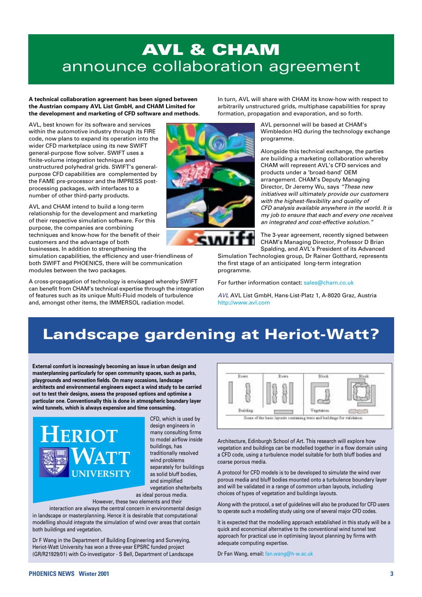## **AVL & CHAM** announce collaboration agreement

**A technical collaboration agreement has been signed between the Austrian company AVL List GmbH, and CHAM Limited for the development and marketing of CFD software and methods.**

AVL, best known for its software and services within the automotive industry through its FIRE code, now plans to expand its operation into the wider CFD marketplace using its new SWIFT general-purpose flow solver. SWIFT uses a finite-volume integration technique and unstructured polyhedral grids. SWIFT's generalpurpose CFD capabilities are complemented by the FAME pre-processor and the IMPRESS postprocessing packages, with interfaces to a number of other third-party products.

AVL and CHAM intend to build a long-term relationship for the development and marketing of their respective simulation software. For this purpose, the companies are combining techniques and know-how for the benefit of their customers and the advantage of both businesses. In addition to strengthening the

simulation capabilities, the efficiency and user-friendliness of both SWIFT and PHOENICS, there will be communication modules between the two packages.

A cross-propagation of technology is envisaged whereby SWIFT can benefit from CHAM's technical expertise through the integration of features such as its unique Multi-Fluid models of turbulence and, amongst other items, the IMMERSOL radiation model.



In turn, AVL will share with CHAM its know-how with respect to arbitrarily unstructured grids, multiphase capabilities for spray formation, propagation and evaporation, and so forth.

> AVL personnel will be based at CHAM's Wimbledon HQ during the technology exchange programme.

Alongside this technical exchange, the parties are building a marketing collaboration whereby CHAM will represent AVL's CFD services and products under a 'broad-band' OEM arrangement. CHAM's Deputy Managing Director, Dr Jeremy Wu, says *"These new initiatives will ultimately provide our customers with the highest-flexibility and quality of CFD analysis available anywhere in the world. It is my job to ensure that each and every one receives an integrated and cost-effective solution."*

The 3-year agreement, recently signed between CHAM's Managing Director, Professor D Brian Spalding, and AVL's President of its Advanced

Simulation Technologies group, Dr Rainer Gotthard, represents the first stage of an anticipated long-term integration programme.

For further information contact: sales@cham.co.uk

*AVL* AVL List GmbH, Hans-List-Platz 1, A-8020 Graz, Austria http://www.avl.com

## **Landscape gardening at Heriot-Watt?**

**External comfort is increasingly becoming an issue in urban design and masterplanning particularly for open community spaces, such as parks, playgrounds and recreation fields. On many occasions, landscape architects and environmental engineers expect a wind study to be carried out to test their designs, assess the proposed options and optimise a particular one. Conventionally this is done in atmospheric boundary layer wind tunnels, which is always expensive and time consuming.** 



design engineers in many consulting firms to model airflow inside buildings, has traditionally resolved wind problems separately for buildings as solid bluff bodies, and simplified vegetation shelterbelts as ideal porous media.

CFD, which is used by

However, these two elements and their

interaction are always the central concern in environmental design in landscape or masterplanning. Hence it is desirable that computational modelling should integrate the simulation of wind over areas that contain both buildings and vegetation.

Dr F Wang in the Department of Building Engineering and Surveying, Heriot-Watt University has won a three-year EPSRC funded project (GR/R21929/01) with Co-investigator - S Bell, Department of Landscape



Architecture, Edinburgh School of Art. This research will explore how vegetation and buildings can be modelled together in a flow domain using a CFD code, using a turbulence model suitable for both bluff bodies and coarse porous media.

A protocol for CFD models is to be developed to simulate the wind over porous media and bluff bodies mounted onto a turbulence boundary layer and will be validated in a range of common urban layouts, including choices of types of vegetation and buildings layouts.

Along with the protocol, a set of guidelines will also be produced for CFD users to operate such a modelling study using one of several major CFD codes.

It is expected that the modelling approach established in this study will be a quick and economical alternative to the conventional wind tunnel test approach for practical use in optimising layout planning by firms with adequate computing expertise.

Dr Fan Wang, email: fan.wang@h-w.ac.uk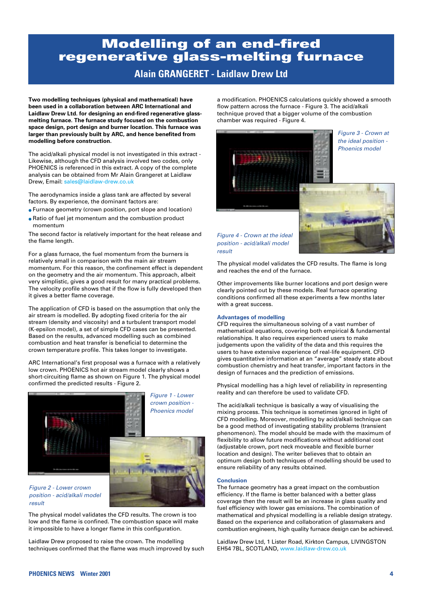#### **PHOENICS NEWS Winter 2001 4**

### **Modelling of an end-fired regenerative glass-melting furnace**

### **Alain GRANGERET - Laidlaw Drew Ltd**

**Two modelling techniques (physical and mathematical) have been used in a collaboration between ARC International and Laidlaw Drew Ltd. for designing an end-fired regenerative glassmelting furnace. The furnace study focused on the combustion space design, port design and burner location. This furnace was larger than previously built by ARC, and hence benefited from modelling before construction.**

The acid/alkali physical model is not investigated in this extract - Likewise, although the CFD analysis involved two codes, only PHOENICS is referenced in this extract. A copy of the complete analysis can be obtained from Mr Alain Grangeret at Laidlaw Drew, Email: sales@laidlaw-drew.co.uk

The aerodynamics inside a glass tank are affected by several factors. By experience, the dominant factors are:

- Furnace geometry (crown position, port slope and location)
- Ratio of fuel jet momentum and the combustion product momentum

The second factor is relatively important for the heat release and the flame length.

For a glass furnace, the fuel momentum from the burners is relatively small in comparison with the main air stream momentum. For this reason, the confinement effect is dependent on the geometry and the air momentum. This approach, albeit very simplistic, gives a good result for many practical problems. The velocity profile shows that if the flow is fully developed then it gives a better flame coverage.

The application of CFD is based on the assumption that only the air stream is modelled. By adopting fixed criteria for the air stream (density and viscosity) and a turbulent transport model (K-epsilon model), a set of simple CFD cases can be presented. Based on the results, advanced modelling such as combined combustion and heat transfer is beneficial to determine the crown temperature profile. This takes longer to investigate.

ARC International's first proposal was a furnace with a relatively low crown. PHOENICS hot air stream model clearly shows a short-circuiting flame as shown on Figure 1. The physical model confirmed the predicted results - Figure 2.

> *Figure 1 - Lower crown position - Phoenics model*

### *Figure 2 - Lower crown position - acid/alkali model result*

The physical model validates the CFD results. The crown is too low and the flame is confined. The combustion space will make it impossible to have a longer flame in this configuration.

Laidlaw Drew proposed to raise the crown. The modelling techniques confirmed that the flame was much improved by such a modification. PHOENICS calculations quickly showed a smooth flow pattern across the furnace - Figure 3. The acid/alkali technique proved that a bigger volume of the combustion chamber was required - Figure 4.





### *Figure 4 - Crown at the ideal position - acid/alkali model result*

The physical model validates the CFD results. The flame is long and reaches the end of the furnace.

Other improvements like burner locations and port design were clearly pointed out by these models. Real furnace operating conditions confirmed all these experiments a few months later with a great success.

### **Advantages of modelling**

CFD requires the simultaneous solving of a vast number of mathematical equations, covering both empirical & fundamental relationships. It also requires experienced users to make judgements upon the validity of the data and this requires the users to have extensive experience of real-life equipment. CFD gives quantitative information at an "average" steady state about combustion chemistry and heat transfer, important factors in the design of furnaces and the prediction of emissions.

Physical modelling has a high level of reliability in representing reality and can therefore be used to validate CFD.

The acid/alkali technique is basically a way of visualising the mixing process. This technique is sometimes ignored in light of CFD modelling. Moreover, modelling by acid/alkali technique can be a good method of investigating stability problems (transient phenomenon). The model should be made with the maximum of flexibility to allow future modifications without additional cost (adjustable crown, port neck moveable and flexible burner location and design). The writer believes that to obtain an optimum design both techniques of modelling should be used to ensure reliability of any results obtained.

### **Conclusion**

The furnace geometry has a great impact on the combustion efficiency. If the flame is better balanced with a better glass coverage then the result will be an increase in glass quality and fuel efficiency with lower gas emissions. The combination of mathematical and physical modelling is a reliable design strategy. Based on the experience and collaboration of glassmakers and combustion engineers, high quality furnace design can be achieved.

Laidlaw Drew Ltd, 1 Lister Road, Kirkton Campus, LIVINGSTON EH54 7BL, SCOTLAND, www.laidlaw-drew.co.uk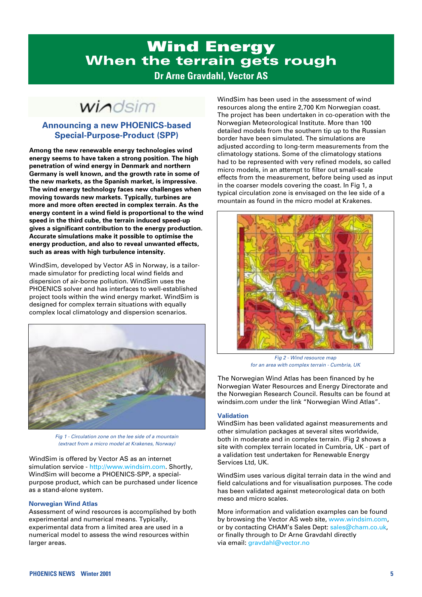### **Wind Energy When the terrain gets rough Dr Arne Gravdahl, Vector AS**

windsim

### **Announcing a new PHOENICS-based Special-Purpose-Product (SPP)**

**Among the new renewable energy technologies wind energy seems to have taken a strong position. The high penetration of wind energy in Denmark and northern Germany is well known, and the growth rate in some of the new markets, as the Spanish market, is impressive. The wind energy technology faces new challenges when moving towards new markets. Typically, turbines are more and more often erected in complex terrain. As the energy content in a wind field is proportional to the wind speed in the third cube, the terrain induced speed-up gives a significant contribution to the energy production. Accurate simulations make it possible to optimise the energy production, and also to reveal unwanted effects, such as areas with high turbulence intensity.**

WindSim, developed by Vector AS in Norway, is a tailormade simulator for predicting local wind fields and dispersion of air-borne pollution. WindSim uses the PHOENICS solver and has interfaces to well-established project tools within the wind energy market. WindSim is designed for complex terrain situations with equally complex local climatology and dispersion scenarios.



*Fig 1 - Circulation zone on the lee side of a mountain (extract from a micro model at Krakenes, Norway)*

WindSim is offered by Vector AS as an internet simulation service - http://www.windsim.com. Shortly, WindSim will become a PHOENICS-SPP, a specialpurpose product, which can be purchased under licence as a stand-alone system.

### **Norwegian Wind Atlas**

Assessment of wind resources is accomplished by both experimental and numerical means. Typically, experimental data from a limited area are used in a numerical model to assess the wind resources within larger areas.

WindSim has been used in the assessment of wind resources along the entire 2,700 Km Norwegian coast. The project has been undertaken in co-operation with the Norwegian Meteorological Institute. More than 100 detailed models from the southern tip up to the Russian border have been simulated. The simulations are adjusted according to long-term measurements from the climatology stations. Some of the climatology stations had to be represented with very refined models, so called micro models, in an attempt to filter out small-scale effects from the measurement, before being used as input in the coarser models covering the coast. In Fig 1, a typical circulation zone is envisaged on the lee side of a mountain as found in the micro model at Krakenes.



*Fig 2 - Wind resource map for an area with complex terrain - Cumbria, UK*

The Norwegian Wind Atlas has been financed by he Norwegian Water Resources and Energy Directorate and the Norwegian Research Council. Results can be found at windsim.com under the link "Norwegian Wind Atlas".

### **Validation**

WindSim has been validated against measurements and other simulation packages at several sites worldwide, both in moderate and in complex terrain. (Fig 2 shows a site with complex terrain located in Cumbria, UK - part of a validation test undertaken for Renewable Energy Services Ltd, UK.

WindSim uses various digital terrain data in the wind and field calculations and for visualisation purposes. The code has been validated against meteorological data on both meso and micro scales.

More information and validation examples can be found by browsing the Vector AS web site, www.windsim.com, or by contacting CHAM's Sales Dept: sales@cham.co.uk, or finally through to Dr Arne Gravdahl directly via email: gravdahl@vector.no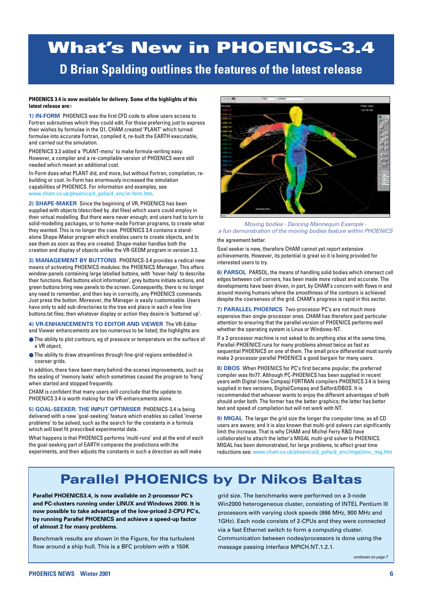## **What's New in PHOENICS-3.4**

**D Brian Spalding outlines the features of the latest release**

#### **PHOENICS 3.4 is now available for delivery. Some of the highlights of this latest release are:-**

**1) IN-FORM** PHOENICS was the first CFD code to allow users access to Fortran subroutines which they could edit. For those preferring just to express their wishes by formulae in the Q1, CHAM created 'PLANT' which turned formulae into accurate Fortran, compiled it, re-built the EARTH executable, and carried out the simulation.

PHOENICS 3.3 added a 'PLANT-menu' to make formula-writing easy. However, a compiler and a re-compilable version of PHOENICS were still needed which meant an additional cost.

In-Form does what PLANT did, and more, but without Fortran, compilation, rebuilding or cost. In-Form has enormously increased the simulation capabilities of PHOENICS. For information and examples, see www.cham.co.uk/phoenics/d\_polis/d\_enc/in-form.htm.

**2) SHAPE-MAKER** Since the beginning of VR, PHOENICS has been supplied with objects (described by .dat files) which users could employ in their virtual modelling. But there were never enough; and users had to turn to solid-modelling packages, or to home-made Fortran programs, to create what they wanted. This is no longer the case. PHOENICS 3.4 contains a standalone Shape-Maker program which enables users to create objects, and to see them as soon as they are created. Shape-maker handles both the creation and display of objects unlike the VR-GEOM program in version 3.3.

**3) MANAGEMENT BY BUTTONS** PHOENICS-3.4 provides a radical new means of activating PHOENICS modules: the PHOENICS Manager. This offers window-panels containing large labelled buttons, with 'hover-help' to describe their functions. Red buttons elicit information', grey buttons initiate actions, and green buttons bring new panels to the screen. Consequently, there is no longer any need to remember, and then key in correctly, any PHOENICS commands. Just press the button. Moreover, the Manager is easily customisable. Users have only to add sub-directories to the tree and place in each a few line buttons.txt files; then whatever display or action they desire is 'buttoned up'.

**4) VR-ENHANCEMENTS TO EDITOR AND VIEWER** The VR-Editor and Viewer enhancements are too numerous to be listed; the highlights are:

- The ability to plot contours, eg of pressure or temperature on the surface of a VR object;
- The ability to draw streamlines through fine-grid regions embedded in coarser grids.

In addition, there have been many behind-the-scenes improvements, such as the sealing of 'memory leaks' which sometimes caused the program to 'hang' when started and stopped frequently.

CHAM is confident that many users will conclude that the update to PHOENICS 3.4 is worth making for the VR-enhancements alone.

**5) GOAL-SEEKER: THE INPUT OPTIMISER** PHOENICS-3.4 is being delivered with a new 'goal-seeking' feature which enables so called 'inverse problems' to be solved, such as the search for the constants in a formula which will best fit prescribed experimental data.

What happens is that PHOENICS performs 'multi-runs' and at the end of each the goal-seeking part of EARTH compares the predictions with the experiments, and then adjusts the constants in such a direction as will make



*Moving bodies - Dancing Mannequin Example a fun demonstration of the moving bodies feature within PHOENICS*

### the agreement better.

Goal seeker is new, therefore CHAM cannot yet report extensive achievements. However, its potential is great so it is being provided for interested users to try.

**6) PARSOL** PARSOL, the means of handling solid bodies which intersect cell edges between cell corners, has been made more robust and accurate. The developments have been driven, in part, by CHAM's concern with flows in and around moving humans where the smoothness of the contours is achieved despite the coarseness of the grid. CHAM's progress is rapid in this sector.

**7) PARALLEL PHOENICS** Two-processor PC's are not much more expensive than single-processor ones. CHAM has therefore paid particular attention to ensuring that the parallel version of PHOENICS performs well whether the operating system is Linux or Windows-NT.

If a 2-processor machine is not asked to do anything else at the same time, Parallel-PHOENICS runs for many problems almost twice as fast as sequential PHOENICS on one of them. The small price differential must surely make 2-processor parallel PHOENICS a good bargain for many users.

**8) DBOS** When PHOENICS for PC's first became popular, the preferred compiler was ftn77. Although PC-PHOENICS has been supplied in recent years with Digital (now Compaq) FORTRAN compilers PHOENICS 3.4 is being supplied in two versions, Digital/Compaq and Salford/DBOS. It is recommended that whoever wants to enjoy the different advantages of both should order both. The former has the better graphics; the latter has better text and speed of compilation but will not work with NT.

**9) MIGAL** The larger the grid size the longer the computer time, as all CD users are aware; and it is also known that multi-grid solvers can significantly limit the increase. That is why CHAM and Michel Ferry R&D have collaborated to attach the latter's MIGAL multi-grid solver to PHOENICS. MIGAL has been demonstrated, for large problems, to effect great time reductions see: www.cham.co.uk/phoenics/d\_polis/d\_enc/migal/enc\_mig.htm

## **Parallel PHOENICS by Dr Nikos Baltas**

**Parallel PHOENICS3.4, is now available on 2-processor PC's and PC-clusters running under LINUX and Windows 2000. It is now possible to take advantage of the low-priced 2-CPU PC's, by running Parallel PHOENICS and achieve a speed-up factor of almost 2 for many problems.**

Benchmark results are shown in the Figure, for the turbulent flow around a ship hull. This is a BFC problem with a 150K

grid size. The benchmarks were performed on a 3-node Win2000 heterogeneous cluster, consisting of INTEL Pentium III processors with varying clock speeds (866 MHz, 900 MHz and 1GHz). Each node consists of 2-CPUs and they were connected via a fast Ethernet switch to form a computing cluster. Communication between nodes/processors is done using the message passing interface MPICH.NT.1.2.1.

*contiunes on page 7*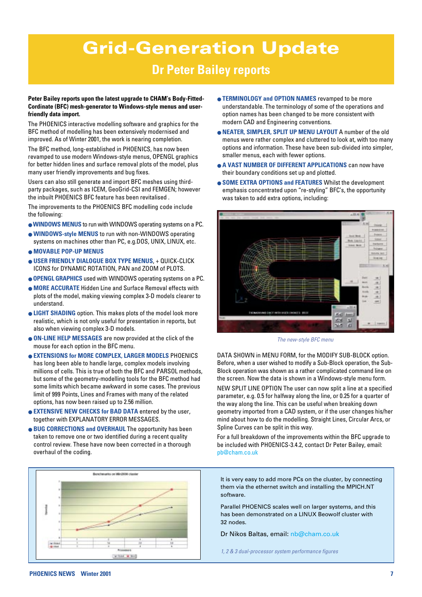## **Grid-Generation Update**

### **Dr Peter Bailey reports**

### **Peter Bailey reports upon the latest upgrade to CHAM's Body-Fitted-Cordinate (BFC) mesh-generator to Windows-style menus and userfriendly data import.**

The PHOENICS interactive modelling software and graphics for the BFC method of modelling has been extensively modernised and improved. As of Winter 2001, the work is nearing completion.

The BFC method, long-established in PHOENICS, has now been revamped to use modern Windows-style menus, OPENGL graphics for better hidden lines and surface removal plots of the model, plus many user friendly improvements and bug fixes.

Users can also still generate and import BFC meshes using thirdparty packages, such as ICEM, GeoGrid-CSI and FEMGEN; however the inbuilt PHOENICS BFC feature has been revitalised .

The improvements to the PHOENICS BFC modelling code include the following:

- **WINDOWS MENUS** to run with WINDOWS operating systems on a PC.
- **WINDOWS-style MENUS** to run with non-WINDOWS operating systems on machines other than PC, e.g.DOS, UNIX, LINUX, etc.
- **MOVABLE POP-UP MENUS**
- **USER FRIENDLY DIALOGUE BOX TYPE MENUS**, + QUICK-CLICK ICONS for DYNAMIC ROTATION, PAN and ZOOM of PLOTS.
- **OPENGL GRAPHICS** used with WINDOWS operating systems on a PC.
- **MORE ACCURATE** Hidden Line and Surface Removal effects with plots of the model, making viewing complex 3-D models clearer to understand.
- **LIGHT SHADING** option. This makes plots of the model look more realistic, which is not only useful for presentation in reports, but also when viewing complex 3-D models.
- **ON-LINE HELP MESSAGES** are now provided at the click of the mouse for each option in the BFC menu.
- **EXTENSIONS for MORE COMPLEX, LARGER MODELS** PHOENICS has long been able to handle large, complex models involving millions of cells. This is true of both the BFC and PARSOL methods, but some of the geometry-modelling tools for the BFC method had some limits which became awkward in some cases. The previous limit of 999 Points, Lines and Frames with many of the related options, has now been raised up to 2.56 million.
- $\bullet$  **EXTENSIVE NEW CHECKS for BAD DATA** entered by the user, together with EXPLANATORY ERROR MESSAGES.
- **BUG CORRECTIONS and OVERHAUL** The opportunity has been taken to remove one or two identified during a recent quality control review. These have now been corrected in a thorough overhaul of the coding.



- **TERMINOLOGY and OPTION NAMES** revamped to be more understandable. The terminology of some of the operations and option names has been changed to be more consistent with modern CAD and Engineering conventions.
- **NEATER, SIMPLER, SPLIT UP MENU LAYOUT** A number of the old menus were rather complex and cluttered to look at, with too many options and information. These have been sub-divided into simpler, smaller menus, each with fewer options.
- **A VAST NUMBER OF DIFFERENT APPLICATIONS** can now have their boundary conditions set up and plotted.
- **SOME EXTRA OPTIONS and FEATURES** Whilst the development emphasis concentrated upon "re-styling" BFC's, the opportunity was taken to add extra options, including:



*The new-style BFC menu*

DATA SHOWN in MENU FORM, for the MODIFY SUB-BLOCK option. Before, when a user wished to modify a Sub-Block operation, the Sub-Block operation was shown as a rather complicated command line on the screen. Now the data is shown in a Windows-style menu form.

NEW SPLIT LINE OPTION The user can now split a line at a specified parameter, e.g. 0.5 for halfway along the line, or 0.25 for a quarter of the way along the line. This can be useful when breaking down geometry imported from a CAD system, or if the user changes his/her mind about how to do the modelling. Straight Lines, Circular Arcs, or Spline Curves can be split in this way.

For a full breakdown of the improvements within the BFC upgrade to be included with PHOENICS-3.4.2, contact Dr Peter Bailey, email: pb@cham.co.uk

It is very easy to add more PCs on the cluster, by connecting them via the ethernet switch and installing the MPICH.NT software.

Parallel PHOENICS scales well on larger systems, and this has been demonstrated on a LINUX Beowolf cluster with 32 nodes.

Dr Nikos Baltas, email: nb@cham.co.uk

*1, 2 & 3 dual-processor system performance figures*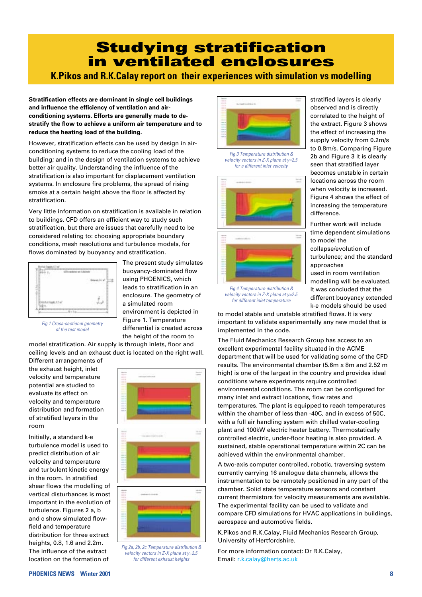## **Studying stratification in ventilated enclosures**

**K.Pikos and R.K.Calay report on their experiences with simulation vs modelling** 

**Stratification effects are dominant in single cell buildings and influence the efficiency of ventilation and airconditioning systems. Efforts are generally made to destratify the flow to achieve a uniform air temperature and to reduce the heating load of the building.** 

However, stratification effects can be used by design in airconditioning systems to reduce the cooling load of the building; and in the design of ventilation systems to achieve better air quality. Understanding the influence of the stratification is also important for displacement ventilation systems. In enclosure fire problems, the spread of rising smoke at a certain height above the floor is affected by stratification.

Very little information on stratification is available in relation to buildings. CFD offers an efficient way to study such stratification, but there are issues that carefully need to be considered relating to: choosing appropriate boundary conditions, mesh resolutions and turbulence models, for flows dominated by buoyancy and stratification.



The present study simulates buoyancy-dominated flow using PHOENICS, which leads to stratification in an enclosure. The geometry of a simulated room environment is depicted in Figure 1. Temperature differential is created across the height of the room to

*Fig 1 Cross-sectional geometry of the test model*

model stratification. Air supply is through inlets, floor and ceiling levels and an exhaust duct is located on the right wall.

Different arrangements of the exhaust height, inlet velocity and temperature potential are studied to evaluate its effect on velocity and temperature distribution and formation of stratified layers in the room

Initially, a standard k-e turbulence model is used to predict distribution of air velocity and temperature and turbulent kinetic energy in the room. In stratified shear flows the modelling of vertical disturbances is most important in the evolution of turbulence. Figures 2 a, b and c show simulated flowfield and temperature distribution for three extract heights, 0.8, 1.6 and 2.2m. The influence of the extract location on the formation of



*Fig 2a, 2b, 2c Temperature distribution & velocity vectors in Z-X plane at y=2.5 for different exhaust heights*



*Fig 3 Temperature distribution & velocity vectors in Z-X plane at y=2.5 for a different inlet velocity*



*Fig 4 Temperature distribution & velocity vectors in Z-X plane at y=2.5 for different inlet temperature*

stratified layers is clearly observed and is directly correlated to the height of the extract. Figure 3 shows the effect of increasing the supply velocity from 0.2m/s to 0.8m/s. Comparing Figure 2b and Figure 3 it is clearly seen that stratified layer becomes unstable in certain locations across the room when velocity is increased. Figure 4 shows the effect of increasing the temperature difference.

Further work will include time dependent simulations to model the

collapse/evolution of turbulence; and the standard approaches

used in room ventilation modelling will be evaluated. It was concluded that the different buoyancy extended k-e models should be used

to model stable and unstable stratified flows. It is very important to validate experimentally any new model that is implemented in the code.

The Fluid Mechanics Research Group has access to an excellent experimental facility situated in the ACME department that will be used for validating some of the CFD results. The environmental chamber (5.6m x 8m and 2.52 m high) is one of the largest in the country and provides ideal conditions where experiments require controlled environmental conditions. The room can be configured for many inlet and extract locations, flow rates and temperatures. The plant is equipped to reach temperatures within the chamber of less than -40C, and in excess of 50C, with a full air handling system with chilled water-cooling plant and 100kW electric heater battery. Thermostatically controlled electric, under-floor heating is also provided. A sustained, stable operational temperature within 2C can be achieved within the environmental chamber.

A two-axis computer controlled, robotic, traversing system currently carrying 16 analogue data channels, allows the instrumentation to be remotely positioned in any part of the chamber. Solid state temperature sensors and constant current thermistors for velocity measurements are available. The experimental facility can be used to validate and compare CFD simulations for HVAC applications in buildings, aerospace and automotive fields.

K.Pikos and R.K.Calay, Fluid Mechanics Research Group, University of Hertfordshire.

For more information contact: Dr R.K.Calay, Email: r.k.calay@herts.ac.uk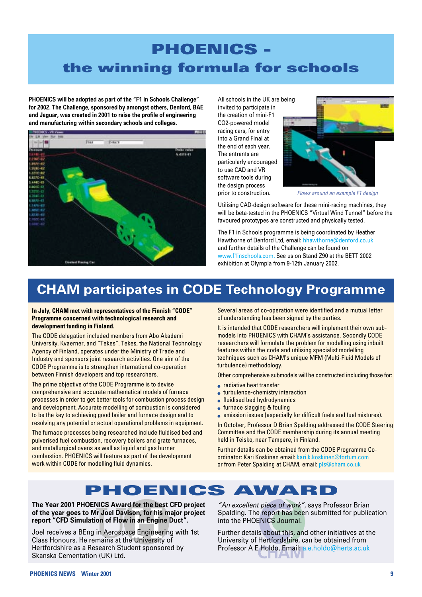## **PHOENICS the winning formula for schools**

**PHOENICS will be adopted as part of the "F1 in Schools Challenge" for 2002. The Challenge, sponsored by amongst others, Denford, BAE and Jaguar, was created in 2001 to raise the profile of engineering and manufacturing within secondary schools and colleges.**



All schools in the UK are being invited to participate in the creation of mini-F1 CO2-powered model racing cars, for entry into a Grand Final at the end of each year. The entrants are particularly encouraged to use CAD and VR software tools during the design process prior to construction.



*Flows around an example F1 design*

Utilising CAD-design software for these mini-racing machines, they will be beta-tested in the PHOENICS "Virtual Wind Tunnel" before the favoured prototypes are constructed and physically tested.

The F1 in Schools programme is being coordinated by Heather Hawthorne of Denford Ltd, email: hhawthorne@denford.co.uk and further details of the Challenge can be found on www.f1inschools.com. See us on Stand Z90 at the BETT 2002 exhibition at Olympia from 9-12th January 2002.

### **CHAM participates in CODE Technology Programme**

**In July, CHAM met with representatives of the Finnish "CODE" Programme concerned with technological research and development funding in Finland.** 

The CODE delegation included members from Abo Akademi University, Kvaerner, and "Tekes". Tekes, the National Technology Agency of Finland, operates under the Ministry of Trade and Industry and sponsors joint research activities. One aim of the CODE Programme is to strengthen international co-operation between Finnish developers and top researchers.

The prime objective of the CODE Programme is to devise comprehensive and accurate mathematical models of furnace processes in order to get better tools for combustion process design and development. Accurate modelling of combustion is considered to be the key to achieving good boiler and furnace design and to resolving any potential or actual operational problems in equipment.

The furnace processes being researched include fluidised bed and pulverised fuel combustion, recovery boilers and grate furnaces, and metallurgical ovens as well as liquid and gas burner combustion. PHOENICS will feature as part of the development work within CODE for modelling fluid dynamics.

Several areas of co-operation were identified and a mutual letter of understanding has been signed by the parties.

It is intended that CODE researchers will implement their own submodels into PHOENICS with CHAM's assistance. Secondly CODE researchers will formulate the problem for modelling using inbuilt features within the code and utilising specialist modelling techniques such as CHAM's unique MFM (Multi-Fluid Models of turbulence) methodology.

Other comprehensive submodels will be constructed including those for:

- radiative heat transfer
- turbulence-chemistry interaction
- fluidised bed hydrodynamics
- furnace slagging & fouling
- emission issues (especially for difficult fuels and fuel mixtures).

In October, Professor D Brian Spalding addressed the CODE Steering Committee and the CODE membership during its annual meeting held in Teisko, near Tampere, in Finland.

Further details can be obtained from the CODE Programme Coordinator: Kari Koskinen email: kari.k.koskinen@fortum.com or from Peter Spalding at CHAM, email: pls@cham.co.uk



**The Year 2001 PHOENICS Award for the best CFD project of the year goes to Mr Joel Davison, for his major project report "CFD Simulation of Flow in an Engine Duct".**

Joel receives a BEng in Aerospace Engineering with 1st Class Honours. He remains at the University of Hertfordshire as a Research Student sponsored by Skanska Cementation (UK) Ltd.

*"An excellent piece of work"*, says Professor Brian Spalding. The report has been submitted for publication into the PHOENICS Journal.

Further details about this, and other initiatives at the University of Hertfordshire, can be obtained from Professor A E Holdo, Email: a.e.holdo@herts.ac.uk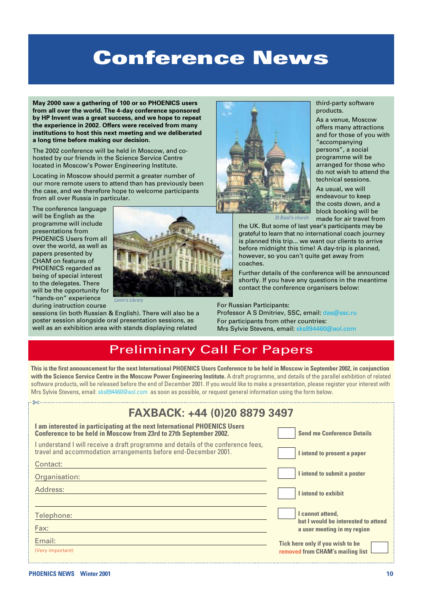## **Conference News**

**May 2000 saw a gathering of 100 or so PHOENICS users from all over the world. The 4-day conference sponsored by HP Invent was a great success, and we hope to repeat the experience in 2002. Offers were received from many institutions to host this next meeting and we deliberated a long time before making our decision.**

The 2002 conference will be held in Moscow, and cohosted by our friends in the Science Service Centre located in Moscow's Power Engineering Institute.

Locating in Moscow should permit a greater number of our more remote users to attend than has previously been the case, and we therefore hope to welcome participants from all over Russia in particular.

The conference language will be English as the programme will include presentations from PHOENICS Users from all over the world, as well as papers presented by CHAM on features of PHOENICS regarded as being of special interest to the delegates. There will be the opportunity for "hands-on" experience during instruction course



*Lenin's Library* 



third-party software products.

As a venue, Moscow offers many attractions and for those of you with "accompanying persons", a social programme will be arranged for those who do not wish to attend the technical sessions.

As usual, we will endeavour to keep the costs down, and a block booking will be made for air travel from

*St Basil's church*

the UK. But some of last year's participants may be grateful to learn that no international coach journey is planned this trip... we want our clients to arrive before midnight this time! A day-trip is planned, however, so you can't quite get away from coaches.

Further details of the conference will be announced shortly. If you have any questions in the meantime contact the conference organisers below:

For Russian Participants:

Professor A S Dmitriev, SSC, email: das@ssc.ru For participants from other countries: Mrs Sylvie Stevens, email: sks894460@aol.com

### Preliminary Call For Papers

**This is the first announcement for the next International PHOENICS Users Conference to be held in Moscow in September 2002, in conjunction with the Science Service Centre in the Moscow Power Engineering Institute.** A draft programme, and details of the parallel exhibition of related software products, will be released before the end of December 2001. If you would like to make a presentation, please register your interest with Mrs Sylvie Stevens, email: sks894460@aol.com as soon as possible, or request general information using the form below.

| FAXBACK: +44 (0)20 8879 3497                                                                                                                         |                                                                      |  |  |  |
|------------------------------------------------------------------------------------------------------------------------------------------------------|----------------------------------------------------------------------|--|--|--|
| I am interested in participating at the next International PHOENICS Users<br>Conference to be held in Moscow from 23rd to 27th September 2002.       | <b>Send me Conference Details</b>                                    |  |  |  |
| I understand I will receive a draft programme and details of the conference fees,<br>travel and accommodation arrangements before end-December 2001. | I intend to present a paper                                          |  |  |  |
| Contact:                                                                                                                                             |                                                                      |  |  |  |
| Organisation:                                                                                                                                        | I intend to submit a poster                                          |  |  |  |
| Address:                                                                                                                                             | <b>Lintend to exhibit</b>                                            |  |  |  |
| Telephone:                                                                                                                                           | I cannot attend.                                                     |  |  |  |
| Fax:                                                                                                                                                 |                                                                      |  |  |  |
| Email:<br>(Very important)                                                                                                                           | Tick here only if you wish to be<br>removed from CHAM's mailing list |  |  |  |
|                                                                                                                                                      | but I would be interested to attend<br>a user meeting in my region   |  |  |  |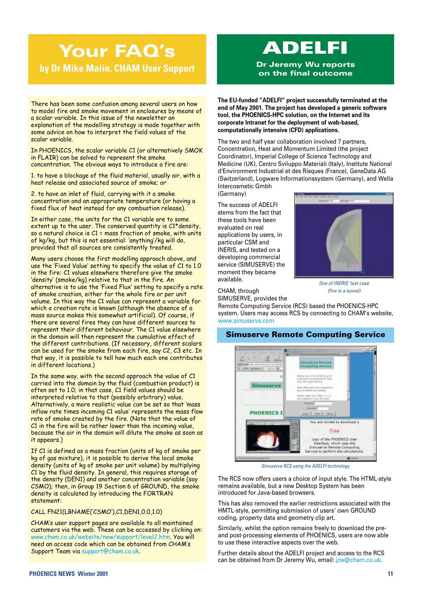## **Your FAQ's by Dr Mike Malin, CHAM User Support**

There has been some confusion among several users on how to model fire and smoke movement in enclosures by means of a scalar variable. In this issue of the newsletter an explanation of the modelling strategy is made together with some advice on how to interpret the field values of the scalar variable.

In PHOENICS, the scalar variable C1 (or alternatively SMOK in FLAIR) can be solved to represent the smoke concentration. The obvious ways to introduce a fire are:

1. to have a blockage of the fluid material, usually air, with a heat release and associated source of smoke; or

2. to have an inlet of fluid, carrying with it a smoke concentration and an appropriate temperature (or having a fixed flux of heat instead for any combustion release).

In either case, the units for the C1 variable are to some extent up to the user. The conserved quantity is C1\*density, so a natural choice is C1 = mass fraction of smoke, with units of kg/kg, but this is not essential: 'anything'/kg will do, provided that all sources are consistently treated.

Many users choose the first modelling approach above, and use the 'Fixed Value' setting to specify the value of C1 to 1.0 in the fire: C1 values elsewhere therefore give the smoke 'density' (smoke/kg) relative to that in the fire. An alternative is to use the 'Fixed Flux' setting to specify a rate of smoke creation, either for the whole fire or per unit volume. In this way the C1 value can represent a variable for which a creation rate is known (although the absence of a mass source makes this somewhat artificial). Of course, if there are several fires they can have different sources to represent their different behaviour. The C1 value elsewhere in the domain will then represent the cumulative effect of the different contributions. (If necessary, different scalars can be used for the smoke from each fire, say C2, C3 etc. In that way, it is possible to tell how much each one contributes in different locations.)

In the same way, with the second approach the value of C1 carried into the domain by the fluid (combustion product) is often set to 1.0; in that case, C1 field values should be interpreted relative to that (possibly arbitrary) value. Alternatively, a more realistic value can be set so that 'mass inflow rate times incoming C1 value' represents the mass flow rate of smoke created by the fire. (Note that the value of C1 in the fire will be rather lower than the incoming value, because the air in the domain will dilute the smoke as soon as it appears.)

If C1 is defined as a mass fraction (units of kg of smoke per kg of gas mixture), it is possible to derive the local smoke density (units of kg of smoke per unit volume) by multiplying C1 by the fluid density. In general, this requires storage of the density (DEN1) and another concentration variable (say CSMO); then, in Group 19 Section 6 of GROUND, the smoke density is calculated by introducing the FORTRAN statement:

CALL FN21(LBNAME('CSMO'),C1,DEN1,0.0,1.0)

CHAMís user support pages are available to all maintained customers via the web. These can be accessed by clicking on: www.cham.co.uk/website/new/support/level2.htm. You will need an access code which can be obtained from CHAMís Support Team via support@cham.co.uk.

## **ADELFI**

**Dr Jeremy Wu reports on the final outcome**

**The EU-funded "ADELFI" project successfully terminated at the end of May 2001. The project has developed a generic software tool, the PHOENICS-HPC solution, on the Internet and its corporate Intranet for the deployment of web-based, computationally intensive (CFD) applications.**

The two and half year collaboration involved 7 partners, Concentration, Heat and Momentum Limited (the project Coordinator), Imperial College of Science Technology and Medicine (UK), Centro Sviluppo Materiali (Italy), Institute National d'Environment Industrial et des Risques (France), GeneData AG (Switzerland), Logware Informationssystem (Germany), and Wella Intercosmetic Gmbh (Germany)

The success of ADELFI stems from the fact that these tools have been evaluated on real applications by users, in particular CSM and INERIS, and tested on a developing commercial service (SIMUSERVE) the moment they became available.



*One of INERIS' test case (Fire in a tunnel)*

CHAM, through SIMUSERVE, provides the

Remote Computing Service (RCS) based the PHOENICS-HPC system. Users may access RCS by connecting to CHAM's website, www.simuserve.com

### **Simuserve Remote Computing Service**



*Simuserve RCS using the ADELFI technology*

The RCS now offers users a choice of input style. The HTML-style remains available, but a new Desktop System has been introduced for Java-based browsers.

This has also removed the earlier restrictions associated with the HMTL-style, permitting submission of users' own GROUND coding, property data and geometry clip art.

Similarly, whilst the option remains freely to download the preand post-processing elements of PHOENICS, users are now able to use these interactive aspects over the web.

Further details about the ADELFI project and access to the RCS can be obtained from Dr Jeremy Wu, email: jzw@cham.co.uk.